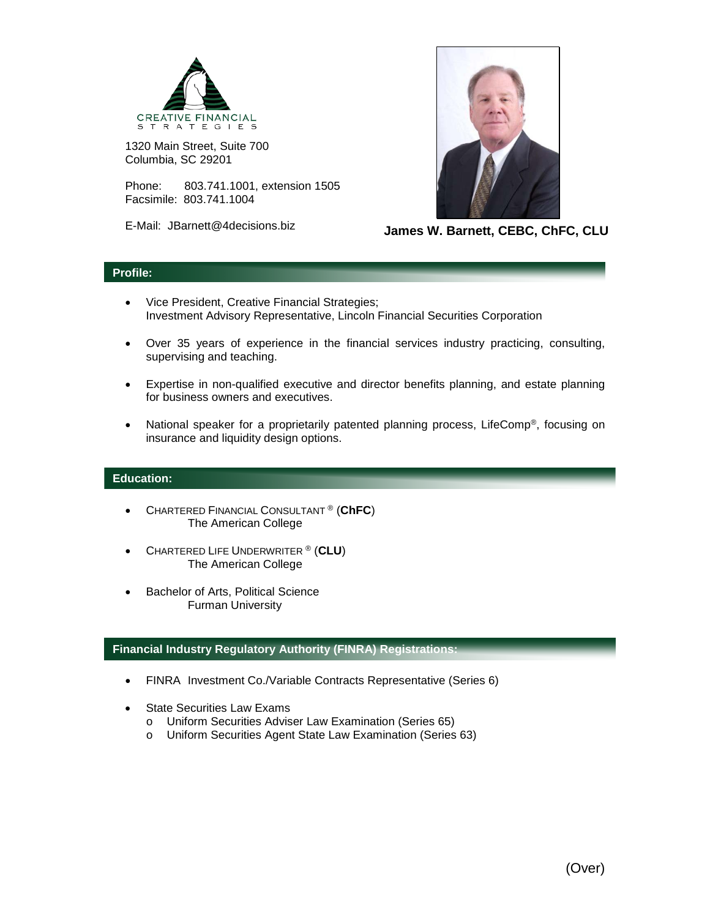

1320 Main Street, Suite 700 Columbia, SC 29201

Phone: 803.741.1001, extension 1505 Facsimile: 803.741.1004

E-Mail: JBarnett@4decisions.biz



**James W. Barnett, CEBC, ChFC, CLU**

## **Profile:**

- Vice President, Creative Financial Strategies; Investment Advisory Representative, Lincoln Financial Securities Corporation
- Over 35 years of experience in the financial services industry practicing, consulting, supervising and teaching.
- Expertise in non-qualified executive and director benefits planning, and estate planning for business owners and executives.
- National speaker for a proprietarily patented planning process, LifeComp<sup>®</sup>, focusing on insurance and liquidity design options.

## **Education:**

- CHARTERED FINANCIAL CONSULTANT ® (**ChFC**) The American College
- CHARTERED LIFE UNDERWRITER ® (**CLU**) The American College
- Bachelor of Arts, Political Science Furman University

## **Financial Industry Regulatory Authority (FINRA) Registrations:**

- FINRA Investment Co./Variable Contracts Representative (Series 6)
- State Securities Law Exams
	- o Uniform Securities Adviser Law Examination (Series 65)
	- o Uniform Securities Agent State Law Examination (Series 63)